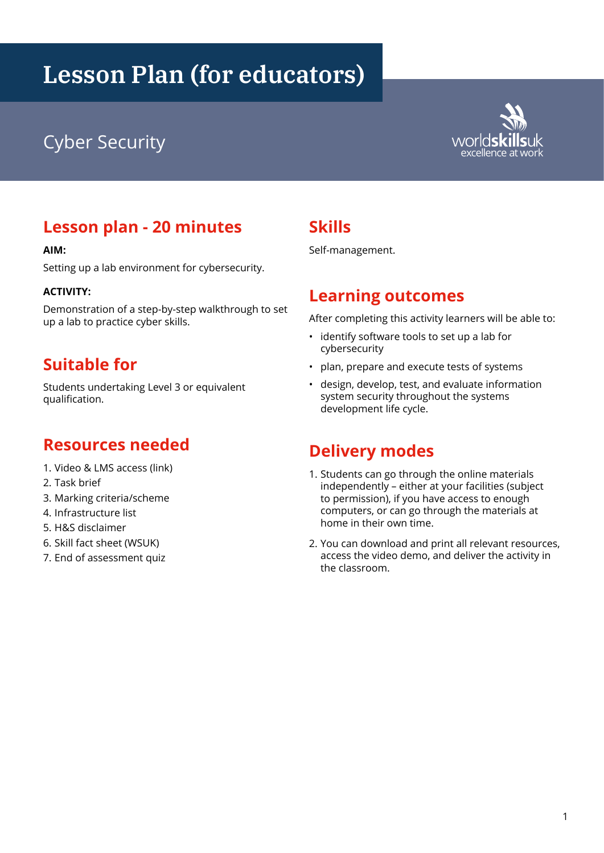# **Lesson Plan (for educators)**

## excellence at worlds **Kills**uk Cyber Security and the control of the control of the control of the cycle at work  $\frac{1}{\sqrt{2}}$



## **Lesson plan - 20 minutes**

#### **AIM:**

Setting up a lab environment for cybersecurity.

#### **ACTIVITY:**

Demonstration of a step-by-step walkthrough to set up a lab to practice cyber skills.

### **Suitable for**

Students undertaking Level 3 or equivalent qualification.

#### **Resources needed**

- 1. Video & LMS access (link)
- 2. Task brief
- 3. Marking criteria/scheme
- 4. Infrastructure list
- 5. H&S disclaimer
- 6. Skill fact sheet (WSUK)
- 7. End of assessment quiz

#### **Skills**

Self-management.

#### **Learning outcomes**

After completing this activity learners will be able to:

- identify software tools to set up a lab for cybersecurity
- plan, prepare and execute tests of systems
- design, develop, test, and evaluate information system security throughout the systems development life cycle.

#### **Delivery modes**

- 1. Students can go through the online materials independently – either at your facilities (subject to permission), if you have access to enough computers, or can go through the materials at home in their own time.
- 2. You can download and print all relevant resources, access the video demo, and deliver the activity in the classroom.